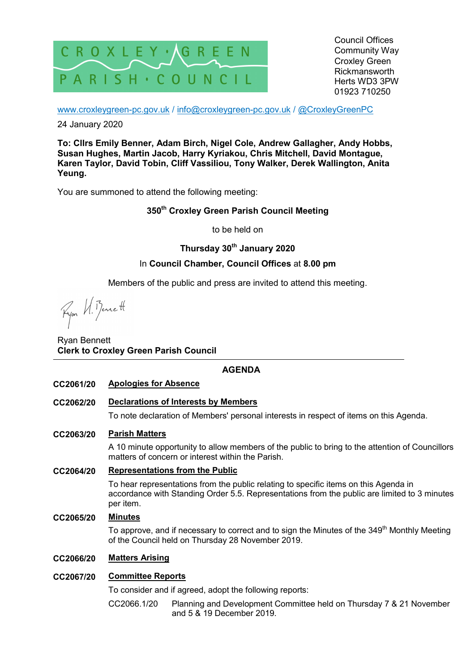

Council Offices Community Way Croxley Green Rickmansworth Herts WD3 3PW 01923 710250

www.croxleygreen-pc.gov.uk / info@croxleygreen-pc.gov.uk / @CroxleyGreenPC

24 January 2020

**To: Cllrs Emily Benner, Adam Birch, Nigel Cole, Andrew Gallagher, Andy Hobbs, Susan Hughes, Martin Jacob, Harry Kyriakou, Chris Mitchell, David Montague, Karen Taylor, David Tobin, Cliff Vassiliou, Tony Walker, Derek Wallington, Anita Yeung.** 

You are summoned to attend the following meeting:

## **350th Croxley Green Parish Council Meeting**

to be held on

# **Thursday 30th January 2020**

## In **Council Chamber, Council Offices** at **8.00 pm**

Members of the public and press are invited to attend this meeting.

Ryon N. Bennett

Ryan Bennett **Clerk to Croxley Green Parish Council** 

## **AGENDA**

- **CC2061/20 Apologies for Absence**
- **CC2062/20 Declarations of Interests by Members**

To note declaration of Members' personal interests in respect of items on this Agenda.

## **CC2063/20 Parish Matters**

A 10 minute opportunity to allow members of the public to bring to the attention of Councillors matters of concern or interest within the Parish.

### **CC2064/20 Representations from the Public**

To hear representations from the public relating to specific items on this Agenda in accordance with Standing Order 5.5. Representations from the public are limited to 3 minutes per item.

### **CC2065/20 Minutes**

To approve, and if necessary to correct and to sign the Minutes of the 349<sup>th</sup> Monthly Meeting of the Council held on Thursday 28 November 2019.

## **CC2066/20 Matters Arising**

## **CC2067/20 Committee Reports**

To consider and if agreed, adopt the following reports:

CC2066.1/20 Planning and Development Committee held on Thursday 7 & 21 November and 5 & 19 December 2019.